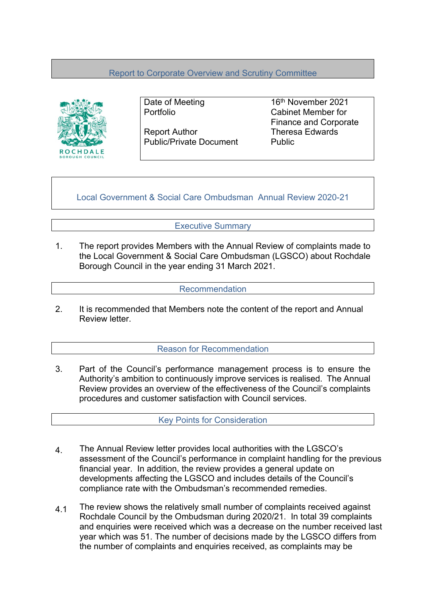# Report to Corporate Overview and Scrutiny Committee



Report Author Theresa Edwards Public/Private Document Public

Date of Meeting 16<sup>th</sup> November 2021 Portfolio Cabinet Member for Finance and Corporate

Local Government & Social Care Ombudsman Annual Review 2020-21

## Executive Summary

1. The report provides Members with the Annual Review of complaints made to the Local Government & Social Care Ombudsman (LGSCO) about Rochdale Borough Council in the year ending 31 March 2021.

#### Recommendation

2. It is recommended that Members note the content of the report and Annual Review letter.

### Reason for Recommendation

3. Part of the Council's performance management process is to ensure the Authority's ambition to continuously improve services is realised. The Annual Review provides an overview of the effectiveness of the Council's complaints procedures and customer satisfaction with Council services.

Key Points for Consideration

- 4. The Annual Review letter provides local authorities with the LGSCO's assessment of the Council's performance in complaint handling for the previous financial year. In addition, the review provides a general update on developments affecting the LGSCO and includes details of the Council's compliance rate with the Ombudsman's recommended remedies.
- 4.1 The review shows the relatively small number of complaints received against Rochdale Council by the Ombudsman during 2020/21. In total 39 complaints and enquiries were received which was a decrease on the number received last year which was 51. The number of decisions made by the LGSCO differs from the number of complaints and enquiries received, as complaints may be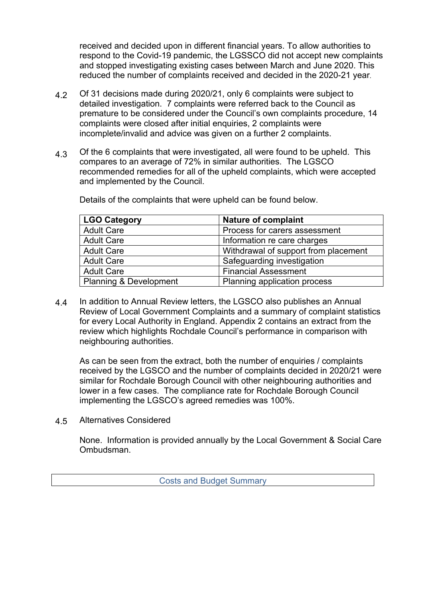received and decided upon in different financial years. To allow authorities to respond to the Covid-19 pandemic, the LGSSCO did not accept new complaints and stopped investigating existing cases between March and June 2020. This reduced the number of complaints received and decided in the 2020-21 year.

- 4.2 Of 31 decisions made during 2020/21, only 6 complaints were subject to detailed investigation. 7 complaints were referred back to the Council as premature to be considered under the Council's own complaints procedure, 14 complaints were closed after initial enquiries, 2 complaints were incomplete/invalid and advice was given on a further 2 complaints.
- 4.3 Of the 6 complaints that were investigated, all were found to be upheld. This compares to an average of 72% in similar authorities. The LGSCO recommended remedies for all of the upheld complaints, which were accepted and implemented by the Council.

Details of the complaints that were upheld can be found below.

| <b>LGO Category</b>    | <b>Nature of complaint</b>           |
|------------------------|--------------------------------------|
| <b>Adult Care</b>      | Process for carers assessment        |
| <b>Adult Care</b>      | Information re care charges          |
| <b>Adult Care</b>      | Withdrawal of support from placement |
| <b>Adult Care</b>      | Safeguarding investigation           |
| <b>Adult Care</b>      | <b>Financial Assessment</b>          |
| Planning & Development | Planning application process         |

4.4 In addition to Annual Review letters, the LGSCO also publishes an Annual Review of Local Government Complaints and a summary of complaint statistics for every Local Authority in England. Appendix 2 contains an extract from the review which highlights Rochdale Council's performance in comparison with neighbouring authorities.

As can be seen from the extract, both the number of enquiries / complaints received by the LGSCO and the number of complaints decided in 2020/21 were similar for Rochdale Borough Council with other neighbouring authorities and lower in a few cases. The compliance rate for Rochdale Borough Council implementing the LGSCO's agreed remedies was 100%.

4.5 Alternatives Considered

> None. Information is provided annually by the Local Government & Social Care Ombudsman.

> > Costs and Budget Summary